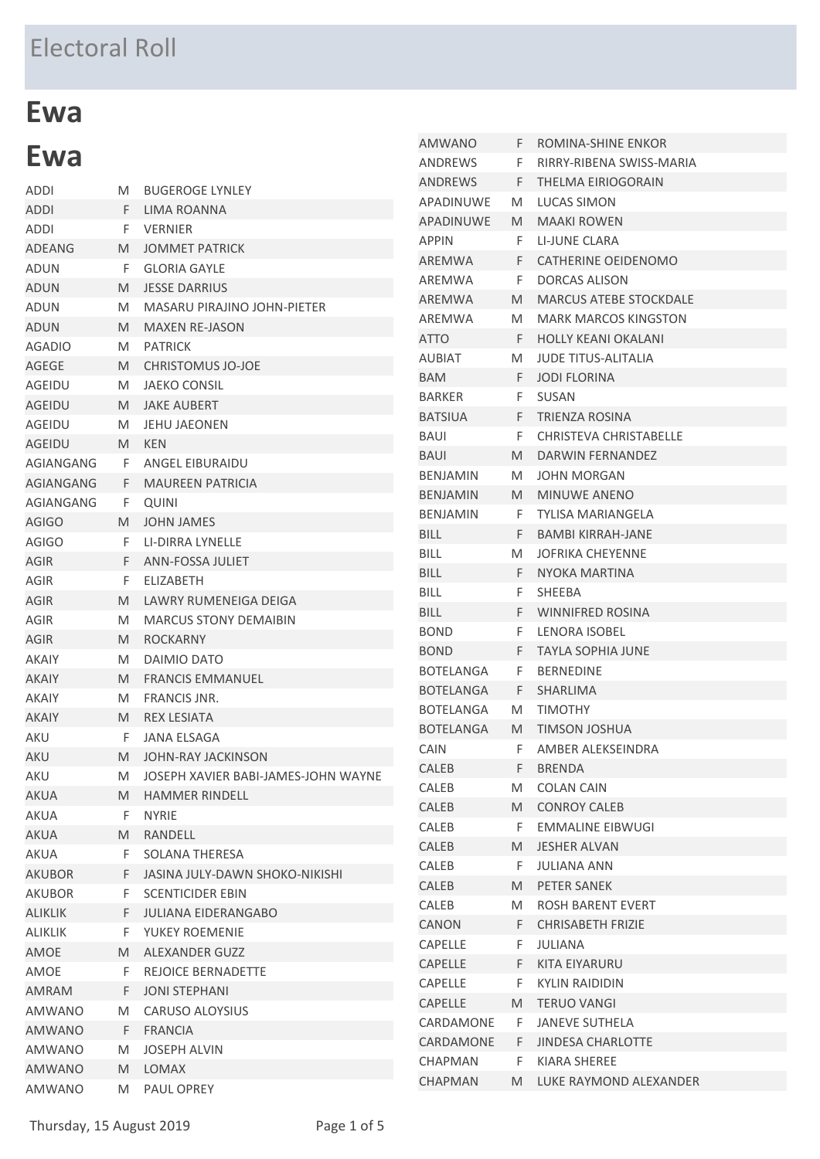# Electoral Roll

# **Ewa**

#### **Ewa**

| L VV Q         |    |                                       | ANDREWS          | F. | RIRRY-RIBENA SWISS-MARIA      |
|----------------|----|---------------------------------------|------------------|----|-------------------------------|
| <b>ADDI</b>    | M. | <b>BUGEROGE LYNLEY</b>                | ANDREWS          | Н. | THELMA EIRIOGORAIN            |
| ADDI           | F. | LIMA ROANNA                           | APADINUWE        | M  | LUCAS SIMON                   |
| ADDI           | F. | <b>VERNIER</b>                        | APADINUWE        | M  | <b>MAAKI ROWEN</b>            |
| ADEANG         | M  | JOMMET PATRICK                        | <b>APPIN</b>     | F. | LI-JUNE CLARA                 |
| <b>ADUN</b>    | F. | <b>GLORIA GAYLE</b>                   | AREMWA           | F. | CATHERINE OEIDENOMO           |
| ADUN           | M  | <b>JESSE DARRIUS</b>                  | AREMWA           | F  | <b>DORCAS ALISON</b>          |
| <b>ADUN</b>    | M  | MASARU PIRAJINO JOHN-PIETER           | AREMWA           | M  | <b>MARCUS ATEBE STOCKDALE</b> |
| <b>ADUN</b>    | M  | <b>MAXEN RE-JASON</b>                 | AREMWA           | M  | <b>MARK MARCOS KINGSTON</b>   |
| <b>AGADIO</b>  | M  | <b>PATRICK</b>                        | ATTO             |    | F HOLLY KEANI OKALANI         |
| AGEGE          | M  | <b>CHRISTOMUS JO-JOE</b>              | <b>AUBIAT</b>    | M  | <b>JUDE TITUS-ALITALIA</b>    |
| AGEIDU         | M  | <b>JAEKO CONSIL</b>                   | <b>BAM</b>       | F. | <b>JODI FLORINA</b>           |
| AGEIDU         | M  | JAKE AUBERT                           | BARKER           | F. | SUSAN                         |
| <b>AGEIDU</b>  | M  | <b>JEHU JAEONEN</b>                   | <b>BATSIUA</b>   |    | F TRIENZA ROSINA              |
| <b>AGEIDU</b>  | M  | <b>KEN</b>                            | BAUI             | F. | CHRISTEVA CHRISTABELLE        |
| AGIANGANG      |    | F ANGEL EIBURAIDU                     | BAUI             | M  | DARWIN FERNANDEZ              |
| AGIANGANG      |    | F MAUREEN PATRICIA                    | <b>BENJAMIN</b>  | M  | JOHN MORGAN                   |
| AGIANGANG      | F. | QUINI                                 | <b>BENJAMIN</b>  | M  | <b>MINUWE ANENO</b>           |
| <b>AGIGO</b>   | M  | <b>JOHN JAMES</b>                     | <b>BENJAMIN</b>  | F. | <b>TYLISA MARIANGELA</b>      |
| <b>AGIGO</b>   | F. | LI-DIRRA LYNELLE                      | <b>BILL</b>      | F. | <b>BAMBI KIRRAH-JANE</b>      |
| <b>AGIR</b>    |    | F ANN-FOSSA JULIET                    | <b>BILL</b>      | M  | <b>JOFRIKA CHEYENNE</b>       |
| AGIR           | F. | ELIZABETH                             | <b>BILL</b>      |    | F NYOKA MARTINA               |
| <b>AGIR</b>    | M  | LAWRY RUMENEIGA DEIGA                 | <b>BILL</b>      | F. | SHEEBA                        |
| AGIR           | M  | <b>MARCUS STONY DEMAIBIN</b>          | <b>BILL</b>      | F. | WINNIFRED ROSINA              |
| AGIR           | M  | <b>ROCKARNY</b>                       | <b>BOND</b>      | F. | LENORA ISOBEL                 |
| AKAIY          | M  | DAIMIO DATO                           | <b>BOND</b>      | F. | <b>TAYLA SOPHIA JUNE</b>      |
| AKAIY          | M  | <b>FRANCIS EMMANUEL</b>               | <b>BOTELANGA</b> | F. | <b>BERNEDINE</b>              |
| AKAIY          | M  | FRANCIS JNR.                          | <b>BOTELANGA</b> | F. | <b>SHARLIMA</b>               |
| <b>AKAIY</b>   | M  | <b>REX LESIATA</b>                    | <b>BOTELANGA</b> | M  | <b>TIMOTHY</b>                |
| AKU            | F. | JANA ELSAGA                           | <b>BOTELANGA</b> | M  | <b>TIMSON JOSHUA</b>          |
| <b>AKU</b>     | M  | JOHN-RAY JACKINSON                    | <b>CAIN</b>      | F  | AMBER ALEKSEINDRA             |
| AKU            |    | M JOSEPH XAVIER BABI-JAMES-JOHN WAYNE | <b>CALEB</b>     | F. | <b>BRENDA</b>                 |
| AKUA           | M  | HAMMER RINDELL                        | CALEB            | M  | <b>COLAN CAIN</b>             |
| <b>AKUA</b>    | F. | <b>NYRIE</b>                          | CALEB            | M  | <b>CONROY CALEB</b>           |
| AKUA           | M  | RANDELL                               | CALEB            | F. | EMMALINE EIBWUGI              |
| AKUA           | F. | <b>SOLANA THERESA</b>                 | CALEB            | M  | <b>JESHER ALVAN</b>           |
| <b>AKUBOR</b>  |    | F JASINA JULY-DAWN SHOKO-NIKISHI      | CALEB            | F. | <b>JULIANA ANN</b>            |
| <b>AKUBOR</b>  | F. | <b>SCENTICIDER EBIN</b>               | CALEB            | M  | <b>PETER SANEK</b>            |
| <b>ALIKLIK</b> |    | F JULIANA EIDERANGABO                 | CALEB            | M  | <b>ROSH BARENT EVERT</b>      |
| <b>ALIKLIK</b> | F. | YUKEY ROEMENIE                        | CANON            |    | F CHRISABETH FRIZIE           |
| AMOE           | M  | <b>ALEXANDER GUZZ</b>                 | CAPELLE          | F. | JULIANA                       |
| AMOE           | F. | <b>REJOICE BERNADETTE</b>             | CAPELLE          | F. | <b>KITA EIYARURU</b>          |
| AMRAM          | F. | <b>JONI STEPHANI</b>                  | CAPELLE          | F  | <b>KYLIN RAIDIDIN</b>         |
| AMWANO         | M  | <b>CARUSO ALOYSIUS</b>                | CAPELLE          | M  | <b>TERUO VANGI</b>            |
| <b>AMWANO</b>  | F. | <b>FRANCIA</b>                        | CARDAMONE        | F. | JANEVE SUTHELA                |
| AMWANO         | M  | <b>JOSEPH ALVIN</b>                   | CARDAMONE        | F. | <b>JINDESA CHARLOTTE</b>      |
| AMWANO         | M  | LOMAX                                 | CHAPMAN          | F. | <b>KIARA SHEREE</b>           |
| AMWANO         | M  | PAUL OPREY                            | <b>CHAPMAN</b>   | M. | LUKE RAYMOND ALEXANDER        |
|                |    |                                       |                  |    |                               |

AMWANO F ROMINA-SHINE ENKOR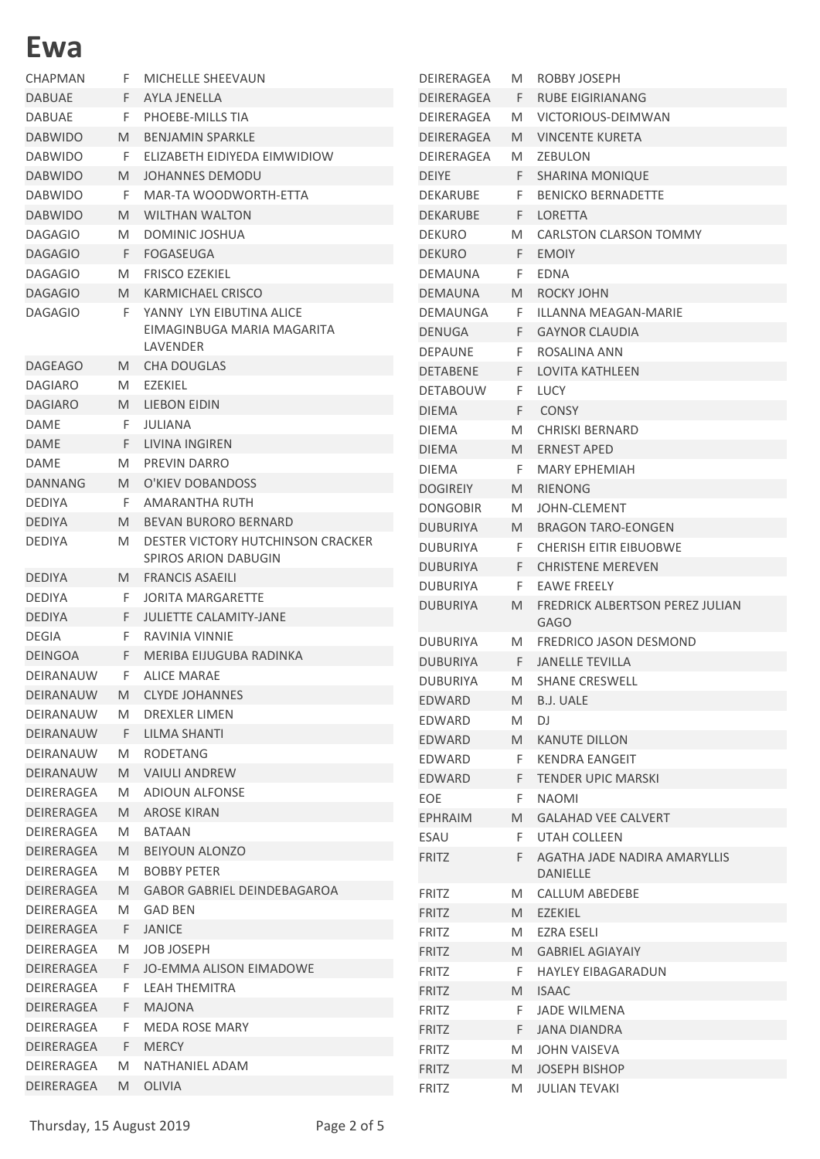| <b>CHAPMAN</b>    | F  | MICHELLE SHEEVAUN                                      | <b>DEIRERAGEA</b> | M  | ROBBY JOSEPH                           |
|-------------------|----|--------------------------------------------------------|-------------------|----|----------------------------------------|
| <b>DABUAE</b>     |    | F AYLA JENELLA<br>RUBE EIGIRIANANG<br>DEIRERAGEA<br>F. |                   |    |                                        |
| <b>DABUAE</b>     | F. | PHOEBE-MILLS TIA                                       | DEIRERAGEA        | M  | VICTORIOUS-DEIMWAN                     |
| <b>DABWIDO</b>    | M  | <b>BENJAMIN SPARKLE</b>                                | <b>DEIRERAGEA</b> | M  | VINCENTE KURETA                        |
| <b>DABWIDO</b>    | F. | ELIZABETH EIDIYEDA EIMWIDIOW                           | <b>DEIRERAGEA</b> | M  | <b>ZEBULON</b>                         |
| <b>DABWIDO</b>    | M. | JOHANNES DEMODU                                        | <b>DEIYE</b>      |    | F SHARINA MONIQUE                      |
| <b>DABWIDO</b>    | F. | MAR-TA WOODWORTH-ETTA                                  | <b>DEKARUBE</b>   | F  | <b>BENICKO BERNADETTE</b>              |
| <b>DABWIDO</b>    | M  | <b>WILTHAN WALTON</b>                                  | <b>DEKARUBE</b>   | F. | <b>LORETTA</b>                         |
| <b>DAGAGIO</b>    | M  | DOMINIC JOSHUA                                         | <b>DEKURO</b>     | M  | <b>CARLSTON CLARSON TOMMY</b>          |
| <b>DAGAGIO</b>    | F. | FOGASEUGA                                              | <b>DEKURO</b>     |    | F EMOIY                                |
| <b>DAGAGIO</b>    | M  | <b>FRISCO EZEKIEL</b>                                  | <b>DEMAUNA</b>    | F  | EDNA                                   |
| <b>DAGAGIO</b>    | M  | KARMICHAEL CRISCO                                      | <b>DEMAUNA</b>    | M  | ROCKY JOHN                             |
| <b>DAGAGIO</b>    | F. | YANNY LYN EIBUTINA ALICE                               | DEMAUNGA          |    | F ILLANNA MEAGAN-MARIE                 |
|                   |    | EIMAGINBUGA MARIA MAGARITA                             | <b>DENUGA</b>     |    | F GAYNOR CLAUDIA                       |
|                   |    | LAVENDER                                               | <b>DEPAUNE</b>    | F  | ROSALINA ANN                           |
| <b>DAGEAGO</b>    | M. | <b>CHA DOUGLAS</b>                                     | <b>DETABENE</b>   | F. | <b>LOVITA KATHLEEN</b>                 |
| <b>DAGIARO</b>    | M  | EZEKIEL                                                | <b>DETABOUW</b>   | F. | LUCY                                   |
| <b>DAGIARO</b>    | M. | <b>LIEBON EIDIN</b>                                    | <b>DIEMA</b>      | F  | <b>CONSY</b>                           |
| <b>DAME</b>       | F. | JULIANA                                                | <b>DIEMA</b>      | M  | <b>CHRISKI BERNARD</b>                 |
| DAME              | F. | LIVINA INGIREN                                         | <b>DIEMA</b>      | M  | <b>ERNEST APED</b>                     |
| DAME              | M  | PREVIN DARRO                                           | <b>DIEMA</b>      | F  | <b>MARY EPHEMIAH</b>                   |
| DANNANG           | M. | O'KIEV DOBANDOSS                                       | <b>DOGIREIY</b>   | M  | <b>RIENONG</b>                         |
| <b>DEDIYA</b>     | F. | AMARANTHA RUTH                                         | <b>DONGOBIR</b>   | M  | <b>JOHN-CLEMENT</b>                    |
| <b>DEDIYA</b>     | M. | <b>BEVAN BURORO BERNARD</b>                            | <b>DUBURIYA</b>   | M  | <b>BRAGON TARO-EONGEN</b>              |
| <b>DEDIYA</b>     | M  | DESTER VICTORY HUTCHINSON CRACKER                      | <b>DUBURIYA</b>   | F. | <b>CHERISH EITIR EIBUOBWE</b>          |
|                   |    | <b>SPIROS ARION DABUGIN</b>                            | <b>DUBURIYA</b>   | F. | <b>CHRISTENE MEREVEN</b>               |
| <b>DEDIYA</b>     | M  | <b>FRANCIS ASAEILI</b>                                 | <b>DUBURIYA</b>   | F  | <b>EAWE FREELY</b>                     |
| <b>DEDIYA</b>     | F. | <b>JORITA MARGARETTE</b>                               | <b>DUBURIYA</b>   | M  | <b>FREDRICK ALBERTSON PEREZ JULIAN</b> |
| <b>DEDIYA</b>     |    | F JULIETTE CALAMITY-JANE                               |                   |    | <b>GAGO</b>                            |
| <b>DEGIA</b>      | F. | RAVINIA VINNIE                                         | <b>DUBURIYA</b>   |    | M FREDRICO JASON DESMOND               |
| <b>DEINGOA</b>    | F. | MERIBA EIJUGUBA RADINKA                                | <b>DUBURIYA</b>   | F  | <b>JANELLE TEVILLA</b>                 |
| <b>DEIRANAUW</b>  |    | F ALICE MARAE                                          | <b>DUBURIYA</b>   | M  | <b>SHANE CRESWELL</b>                  |
| DEIRANAUW         | M  | <b>CLYDE JOHANNES</b>                                  | <b>EDWARD</b>     | M. | <b>B.J. UALE</b>                       |
| <b>DEIRANAUW</b>  | M  | <b>DREXLER LIMEN</b>                                   | EDWARD            | M  | DJ                                     |
| DEIRANAUW         | F. | LILMA SHANTI                                           | <b>EDWARD</b>     | M  | <b>KANUTE DILLON</b>                   |
| DEIRANAUW         | M  | <b>RODETANG</b>                                        | EDWARD            | F. | KENDRA EANGEIT                         |
| DEIRANAUW         | M. | <b>VAIULI ANDREW</b>                                   | EDWARD            |    | F TENDER UPIC MARSKI                   |
| <b>DEIRERAGEA</b> | M  | ADIOUN ALFONSE                                         | EOE               | F. | <b>NAOMI</b>                           |
| <b>DEIRERAGEA</b> | M. | AROSE KIRAN                                            | <b>EPHRAIM</b>    | M  | <b>GALAHAD VEE CALVERT</b>             |
| DEIRERAGEA        | M  | <b>BATAAN</b>                                          | ESAU              |    | F UTAH COLLEEN                         |
| <b>DEIRERAGEA</b> | M  | <b>BEIYOUN ALONZO</b>                                  | <b>FRITZ</b>      |    | F AGATHA JADE NADIRA AMARYLLIS         |
| DEIRERAGEA        | M  | <b>BOBBY PETER</b>                                     |                   |    | <b>DANIELLE</b>                        |
| <b>DEIRERAGEA</b> | M. | <b>GABOR GABRIEL DEINDEBAGAROA</b>                     | <b>FRITZ</b>      | M  | <b>CALLUM ABEDEBE</b>                  |
| DEIRERAGEA        | M  | <b>GAD BEN</b>                                         | <b>FRITZ</b>      | M  | EZEKIEL                                |
| <b>DEIRERAGEA</b> |    | F JANICE                                               | <b>FRITZ</b>      | M  | <b>EZRA ESELI</b>                      |
| DEIRERAGEA        | M. | JOB JOSEPH                                             | <b>FRITZ</b>      |    | M GABRIEL AGIAYAIY                     |
| DEIRERAGEA        |    | F JO-EMMA ALISON EIMADOWE                              | <b>FRITZ</b>      | F. | HAYLEY EIBAGARADUN                     |
| DEIRERAGEA        | F. | LEAH THEMITRA                                          | <b>FRITZ</b>      | M  | <b>ISAAC</b>                           |
| <b>DEIRERAGEA</b> | F. | <b>MAJONA</b>                                          | <b>FRITZ</b>      | F. | JADE WILMENA                           |
| DEIRERAGEA        | F. | <b>MEDA ROSE MARY</b>                                  | <b>FRITZ</b>      |    | F JANA DIANDRA                         |
| DEIRERAGEA        | F. | <b>MERCY</b>                                           | <b>FRITZ</b>      | M  | <b>JOHN VAISEVA</b>                    |
| DEIRERAGEA        | M  | NATHANIEL ADAM                                         | <b>FRITZ</b>      | M  | <b>JOSEPH BISHOP</b>                   |
| DEIRERAGEA        | M  | OLIVIA                                                 |                   |    | <b>JULIAN TEVAKI</b>                   |
|                   |    |                                                        | <b>FRITZ</b>      | M  |                                        |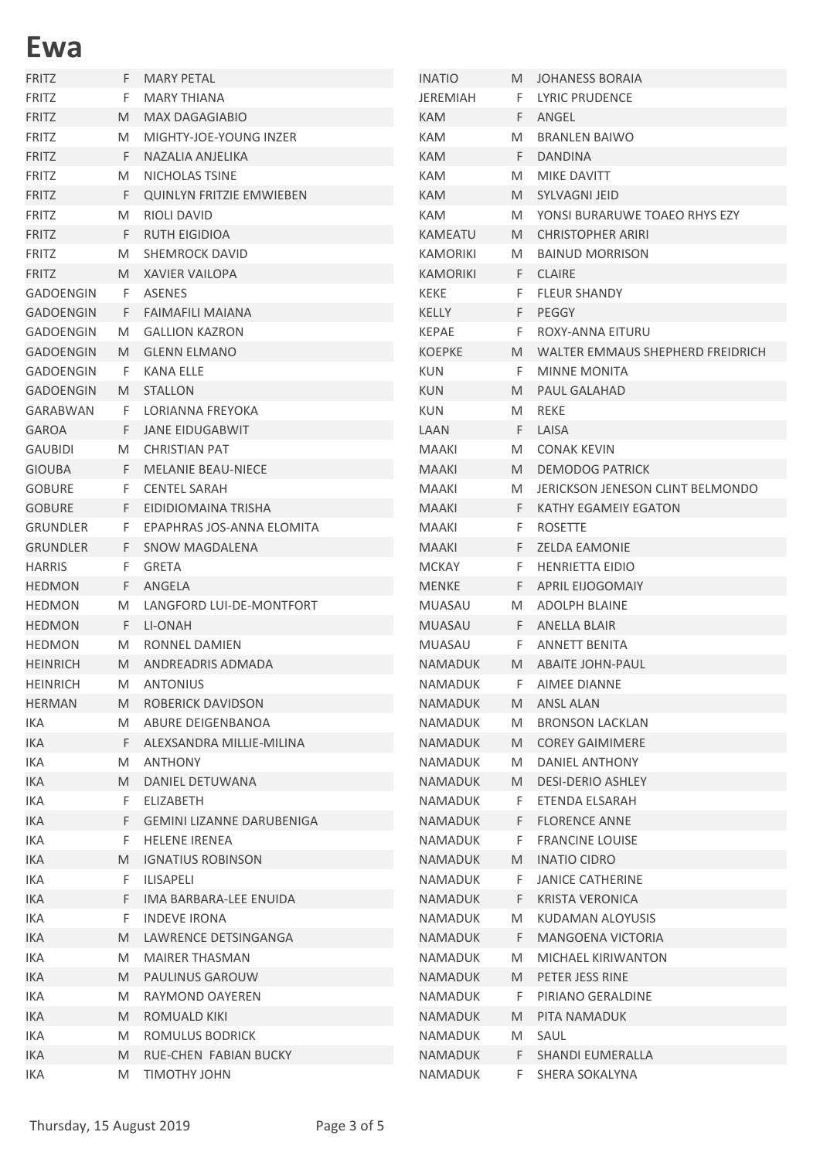| <b>FRITZ</b>     |    | F MARY PETAL                                                | <b>INATIO</b>   | M  | <b>JOHANESS BORAIA</b>           |
|------------------|----|-------------------------------------------------------------|-----------------|----|----------------------------------|
| <b>FRITZ</b>     | F. | <b>JEREMIAH</b><br>MARY THIANA<br>F.<br>LYRIC PRUDENCE      |                 |    |                                  |
| <b>FRITZ</b>     | M  | <b>KAM</b><br>ANGEL<br><b>MAX DAGAGIABIO</b><br>F.          |                 |    |                                  |
| <b>FRITZ</b>     | M  | MIGHTY-JOE-YOUNG INZER<br>KAM.<br><b>BRANLEN BAIWO</b><br>M |                 |    |                                  |
| <b>FRITZ</b>     | F. | NAZALIA ANJELIKA<br><b>KAM</b><br><b>DANDINA</b><br>F.      |                 |    |                                  |
| <b>FRITZ</b>     | M. | NICHOLAS TSINE<br>KAM.<br>MIKE DAVITT<br>M                  |                 |    |                                  |
| <b>FRITZ</b>     | F. | <b>QUINLYN FRITZIE EMWIEBEN</b>                             | <b>KAM</b>      | M  | SYLVAGNI JEID                    |
| <b>FRITZ</b>     | M  | RIOLI DAVID                                                 | KAM.            | M  | YONSI BURARUWE TOAEO RHYS EZY    |
| <b>FRITZ</b>     |    | F RUTH EIGIDIOA                                             | <b>KAMEATU</b>  | M  | CHRISTOPHER ARIRI                |
| <b>FRITZ</b>     | M  | SHEMROCK DAVID                                              | <b>KAMORIKI</b> | M  | <b>BAINUD MORRISON</b>           |
| <b>FRITZ</b>     | M. | XAVIER VAILOPA                                              | <b>KAMORIKI</b> |    | F CLAIRE                         |
| GADOENGIN        |    | F ASENES                                                    | <b>KEKE</b>     | F. | <b>FLEUR SHANDY</b>              |
| GADOENGIN        |    | F FAIMAFILI MAIANA                                          | <b>KELLY</b>    |    | F PEGGY                          |
| <b>GADOENGIN</b> | M. | <b>GALLION KAZRON</b>                                       | <b>KEPAE</b>    | F. | ROXY-ANNA EITURU                 |
| <b>GADOENGIN</b> | M. | <b>GLENN ELMANO</b>                                         | <b>KOEPKE</b>   | M. | WALTER EMMAUS SHEPHERD FREIDRICH |
| GADOENGIN        | F. | KANA ELLE                                                   | <b>KUN</b>      | F. | <b>MINNE MONITA</b>              |
| GADOENGIN        | M. | STALLON                                                     | <b>KUN</b>      | M  | PAUL GALAHAD                     |
| <b>GARABWAN</b>  |    | F LORIANNA FREYOKA                                          | <b>KUN</b>      | M  | REKE                             |
| <b>GAROA</b>     |    | F JANE EIDUGABWIT                                           | LAAN            | F. | LAISA                            |
| <b>GAUBIDI</b>   | M  | <b>CHRISTIAN PAT</b>                                        | <b>MAAKI</b>    | M  | <b>CONAK KEVIN</b>               |
| <b>GIOUBA</b>    |    | <b>F</b> MELANIE BEAU-NIECE                                 | MAAKI           | M  | <b>DEMODOG PATRICK</b>           |
| <b>GOBURE</b>    | F. | <b>CENTEL SARAH</b>                                         | MAAKI           | M  | JERICKSON JENESON CLINT BELMONDO |
| <b>GOBURE</b>    |    | F EIDIDIOMAINA TRISHA                                       | MAAKI           | F. | KATHY EGAMEIY EGATON             |
| GRUNDLER         |    | F EPAPHRAS JOS-ANNA ELOMITA                                 | <b>MAAKI</b>    | F. | <b>ROSETTE</b>                   |
| <b>GRUNDLER</b>  |    | F SNOW MAGDALENA                                            | MAAKI           |    | F ZELDA EAMONIE                  |
| <b>HARRIS</b>    | F. | GRETA                                                       | <b>MCKAY</b>    | F. | <b>HENRIETTA EIDIO</b>           |
| <b>HEDMON</b>    |    | F ANGELA                                                    | <b>MENKE</b>    | F. | APRIL EIJOGOMAIY                 |
| <b>HEDMON</b>    |    | M LANGFORD LUI-DE-MONTFORT                                  | <b>MUASAU</b>   | M  | <b>ADOLPH BLAINE</b>             |
| <b>HEDMON</b>    | F. | LI-ONAH                                                     | <b>MUASAU</b>   |    | F ANELLA BLAIR                   |
| <b>HEDMON</b>    | M  | RONNEL DAMIEN                                               | <b>MUASAU</b>   | F. | ANNETT BENITA                    |
| <b>HEINRICH</b>  | M  | ANDREADRIS ADMADA                                           | NAMADUK         |    | M ABAITE JOHN-PAUL               |
| <b>HEINRICH</b>  |    | M ANTONIUS                                                  | NAMADUK         |    | F AIMEE DIANNE                   |
| <b>HERMAN</b>    | M  | ROBERICK DAVIDSON                                           | <b>NAMADUK</b>  | M  | <b>ANSL ALAN</b>                 |
| IKA              | M  | ABURE DEIGENBANOA                                           | NAMADUK         | M  | <b>BRONSON LACKLAN</b>           |
| IKA              |    | F ALEXSANDRA MILLIE-MILINA                                  | NAMADUK         | M  | <b>COREY GAIMIMERE</b>           |
| IKA              | M  | ANTHONY                                                     | NAMADUK         | M  | DANIEL ANTHONY                   |
| IKA              | M  | DANIEL DETUWANA                                             | <b>NAMADUK</b>  | M  | <b>DESI-DERIO ASHLEY</b>         |
| IKA              | F. | ELIZABETH                                                   | NAMADUK         | F. | ETENDA ELSARAH                   |
| IKA              |    | F GEMINI LIZANNE DARUBENIGA                                 | <b>NAMADUK</b>  | F. | <b>FLORENCE ANNE</b>             |
| IKA              | F. | <b>HELENE IRENEA</b>                                        | <b>NAMADUK</b>  | F. | <b>FRANCINE LOUISE</b>           |
| IKA              | M  | <b>IGNATIUS ROBINSON</b>                                    | NAMADUK         | M  | <b>INATIO CIDRO</b>              |
| IKA              |    | F ILISAPELI                                                 | NAMADUK         | F. | JANICE CATHERINE                 |
| IKA              |    | F IMA BARBARA-LEE ENUIDA                                    | NAMADUK         | F  | <b>KRISTA VERONICA</b>           |
| IKA              | F. | <b>INDEVE IRONA</b>                                         | NAMADUK         | M  | KUDAMAN ALOYUSIS                 |
| IKA              | M  | LAWRENCE DETSINGANGA                                        | <b>NAMADUK</b>  | F  | <b>MANGOENA VICTORIA</b>         |
| IKA              | M  | MAIRER THASMAN                                              | NAMADUK         | M  | MICHAEL KIRIWANTON               |
| IKA              | M  | <b>PAULINUS GAROUW</b>                                      | <b>NAMADUK</b>  | M  | PETER JESS RINE                  |
| IKA              | M  | RAYMOND OAYEREN                                             | NAMADUK         | F. | PIRIANO GERALDINE                |
| IKA              | M  | ROMUALD KIKI                                                | <b>NAMADUK</b>  | M  | PITA NAMADUK                     |
| IKA              | M  | ROMULUS BODRICK                                             | NAMADUK         | M  | SAUL                             |
| IKA              | M  | RUE-CHEN FABIAN BUCKY                                       | NAMADUK         | F. | SHANDI EUMERALLA                 |
| IKA              | M  | TIMOTHY JOHN                                                | NAMADUK         | F. | SHERA SOKALYNA                   |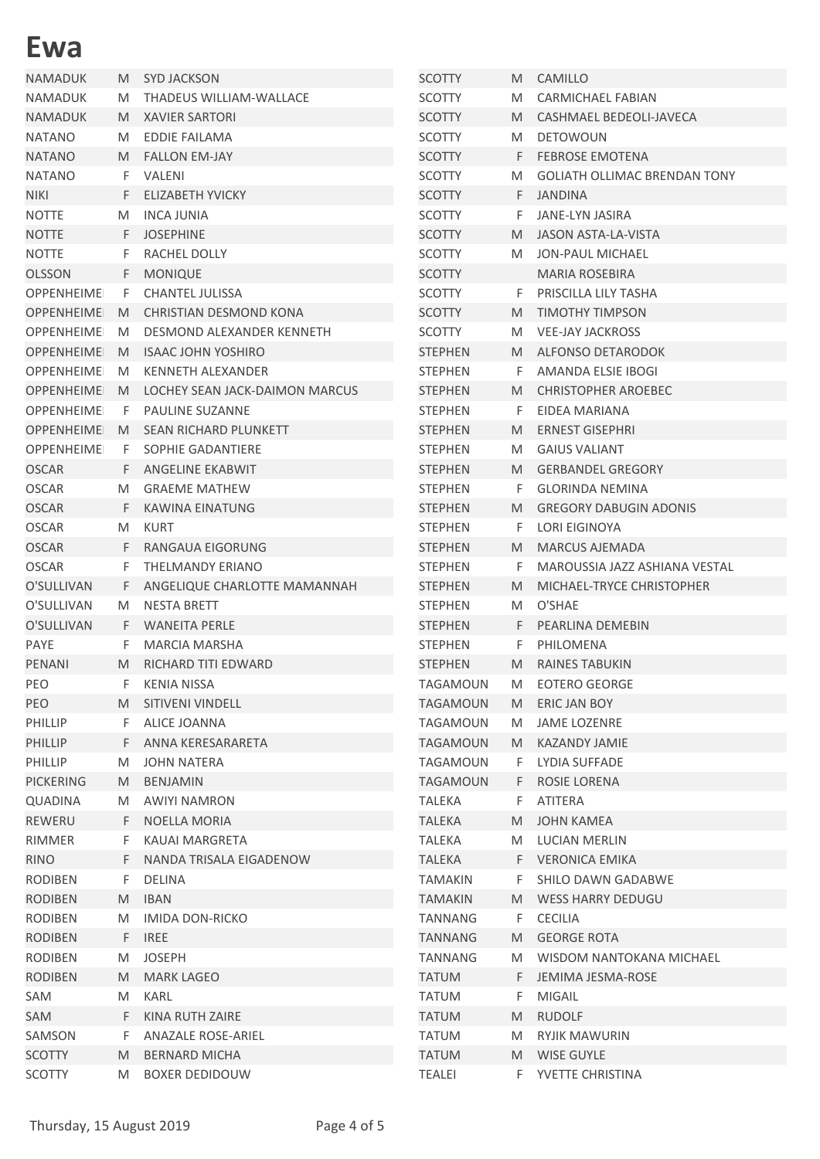| <b>NAMADUK</b>     | M. | <b>SYD JACKSON</b>                                                     | <b>SCOTTY</b>   | M                                   | CAMILLO                       |
|--------------------|----|------------------------------------------------------------------------|-----------------|-------------------------------------|-------------------------------|
| NAMADUK            | M  | THADEUS WILLIAM-WALLACE<br><b>SCOTTY</b>                               |                 | M                                   | <b>CARMICHAEL FABIAN</b>      |
| NAMADUK            | M  | CASHMAEL BEDEOLI-JAVECA<br><b>XAVIER SARTORI</b><br><b>SCOTTY</b><br>M |                 |                                     |                               |
| <b>NATANO</b>      | M  | EDDIE FAILAMA                                                          | <b>SCOTTY</b>   | M                                   | <b>DETOWOUN</b>               |
| <b>NATANO</b>      | M  | <b>FALLON EM-JAY</b><br><b>FEBROSE EMOTENA</b><br><b>SCOTTY</b><br>F.  |                 |                                     |                               |
| <b>NATANO</b>      | F. | VALENI<br><b>SCOTTY</b><br>M                                           |                 | <b>GOLIATH OLLIMAC BRENDAN TONY</b> |                               |
| <b>NIKI</b>        |    | F ELIZABETH YVICKY                                                     | <b>SCOTTY</b>   |                                     | F JANDINA                     |
| <b>NOTTE</b>       | M. | INCA JUNIA                                                             | <b>SCOTTY</b>   | F.                                  | JANE-LYN JASIRA               |
| <b>NOTTE</b>       |    | F JOSEPHINE                                                            | <b>SCOTTY</b>   | M                                   | JASON ASTA-LA-VISTA           |
| <b>NOTTE</b>       | F. | RACHEL DOLLY                                                           | <b>SCOTTY</b>   | M                                   | JON-PAUL MICHAEL              |
| <b>OLSSON</b>      |    | F MONIQUE                                                              | <b>SCOTTY</b>   |                                     | <b>MARIA ROSEBIRA</b>         |
| <b>OPPENHEIME</b>  | F. | CHANTEL JULISSA                                                        | <b>SCOTTY</b>   | F.                                  | PRISCILLA LILY TASHA          |
| <b>OPPENHEIME</b>  | M. | <b>CHRISTIAN DESMOND KONA</b>                                          | <b>SCOTTY</b>   | M                                   | <b>TIMOTHY TIMPSON</b>        |
| <b>OPPENHEIME</b>  | M  | DESMOND ALEXANDER KENNETH                                              | <b>SCOTTY</b>   | M                                   | <b>VEE-JAY JACKROSS</b>       |
| <b>OPPENHEIMEI</b> | M  | <b>ISAAC JOHN YOSHIRO</b>                                              | <b>STEPHEN</b>  | M                                   | ALFONSO DETARODOK             |
| <b>OPPENHEIMEI</b> | M  | KENNETH ALEXANDER                                                      | <b>STEPHEN</b>  | F.                                  | AMANDA ELSIE IBOGI            |
| <b>OPPENHEIMEI</b> | M. | LOCHEY SEAN JACK-DAIMON MARCUS                                         | <b>STEPHEN</b>  | M                                   | CHRISTOPHER AROEBEC           |
| <b>OPPENHEIME</b>  | F. | <b>PAULINE SUZANNE</b>                                                 | <b>STEPHEN</b>  | F.                                  | EIDEA MARIANA                 |
| <b>OPPENHEIMEI</b> |    | M SEAN RICHARD PLUNKETT                                                | <b>STEPHEN</b>  |                                     | M ERNEST GISEPHRI             |
| <b>OPPENHEIMEI</b> | F. | SOPHIE GADANTIERE                                                      | <b>STEPHEN</b>  | M                                   | <b>GAIUS VALIANT</b>          |
| <b>OSCAR</b>       | F. | ANGELINE EKABWIT                                                       | <b>STEPHEN</b>  | M                                   | <b>GERBANDEL GREGORY</b>      |
| <b>OSCAR</b>       | M  | <b>GRAEME MATHEW</b>                                                   | <b>STEPHEN</b>  | F.                                  | GLORINDA NEMINA               |
| <b>OSCAR</b>       | F. | KAWINA EINATUNG                                                        | <b>STEPHEN</b>  |                                     | M GREGORY DABUGIN ADONIS      |
| <b>OSCAR</b>       | M  | <b>KURT</b>                                                            | <b>STEPHEN</b>  | F.                                  | LORI EIGINOYA                 |
| <b>OSCAR</b>       |    | F RANGAUA EIGORUNG                                                     | <b>STEPHEN</b>  |                                     | M MARCUS AJEMADA              |
| <b>OSCAR</b>       |    | F THELMANDY ERIANO                                                     | <b>STEPHEN</b>  | F.                                  | MAROUSSIA JAZZ ASHIANA VESTAL |
| O'SULLIVAN         | F. | ANGELIQUE CHARLOTTE MAMANNAH                                           | <b>STEPHEN</b>  | M                                   | MICHAEL-TRYCE CHRISTOPHER     |
| O'SULLIVAN         | M. | NESTA BRETT                                                            | <b>STEPHEN</b>  | M                                   | O'SHAE                        |
| O'SULLIVAN         | F. | <b>WANEITA PERLE</b>                                                   | <b>STEPHEN</b>  |                                     | F PEARLINA DEMEBIN            |
| <b>PAYE</b>        | F. | <b>MARCIA MARSHA</b>                                                   | <b>STEPHEN</b>  | F.                                  | PHILOMENA                     |
| <b>PENANI</b>      | M. | RICHARD TITI EDWARD                                                    | <b>STEPHEN</b>  | M                                   | <b>RAINES TABUKIN</b>         |
| PEO                | F. | KENIA NISSA                                                            | TAGAMOUN        |                                     | M EOTERO GEORGE               |
| PEO                |    | M SITIVENI VINDELL                                                     | <b>TAGAMOUN</b> |                                     | M ERIC JAN BOY                |
| PHILLIP            |    | F ALICE JOANNA                                                         | TAGAMOUN        | M                                   | JAME LOZENRE                  |
| <b>PHILLIP</b>     | F. | ANNA KERESARARETA                                                      | <b>TAGAMOUN</b> | M                                   | KAZANDY JAMIE                 |
| PHILLIP            | M  | JOHN NATERA                                                            | TAGAMOUN        | F.                                  | LYDIA SUFFADE                 |
| <b>PICKERING</b>   | M. | <b>BENJAMIN</b>                                                        | <b>TAGAMOUN</b> |                                     | F ROSIE LORENA                |
| QUADINA            | M  | <b>AWIYI NAMRON</b>                                                    | TALEKA          |                                     | F ATITERA                     |
| REWERU             |    | F NOELLA MORIA                                                         | TALEKA          | M                                   | JOHN KAMEA                    |
| <b>RIMMER</b>      | F. | KAUAI MARGRETA                                                         | TALEKA          | M                                   | LUCIAN MERLIN                 |
| <b>RINO</b>        |    | F NANDA TRISALA EIGADENOW                                              | TALEKA          |                                     | F VERONICA EMIKA              |
| <b>RODIBEN</b>     | F. | DELINA                                                                 | <b>TAMAKIN</b>  | F.                                  | SHILO DAWN GADABWE            |
| <b>RODIBEN</b>     | M  | <b>IBAN</b>                                                            | <b>TAMAKIN</b>  |                                     | M WESS HARRY DEDUGU           |
| <b>RODIBEN</b>     | M  | <b>IMIDA DON-RICKO</b>                                                 | TANNANG         |                                     | F CECILIA                     |
| <b>RODIBEN</b>     |    | F IREE                                                                 | <b>TANNANG</b>  | M                                   | <b>GEORGE ROTA</b>            |
| <b>RODIBEN</b>     | M  | <b>JOSEPH</b>                                                          | <b>TANNANG</b>  | M                                   | WISDOM NANTOKANA MICHAEL      |
| <b>RODIBEN</b>     | M  | <b>MARK LAGEO</b>                                                      | <b>TATUM</b>    |                                     | F JEMIMA JESMA-ROSE           |
| SAM                | M  | KARL                                                                   | <b>TATUM</b>    | F.                                  | MIGAIL                        |
| SAM                | F. | KINA RUTH ZAIRE                                                        | <b>TATUM</b>    | M                                   | RUDOLF                        |
| SAMSON             | F. | <b>ANAZALE ROSE-ARIEL</b>                                              | <b>TATUM</b>    | M                                   | <b>RYJIK MAWURIN</b>          |
| <b>SCOTTY</b>      | M  | <b>BERNARD MICHA</b>                                                   | <b>TATUM</b>    | M                                   | WISE GUYLE                    |
| <b>SCOTTY</b>      | M  | <b>BOXER DEDIDOUW</b>                                                  | TEALEI          |                                     | F YVETTE CHRISTINA            |
|                    |    |                                                                        |                 |                                     |                               |